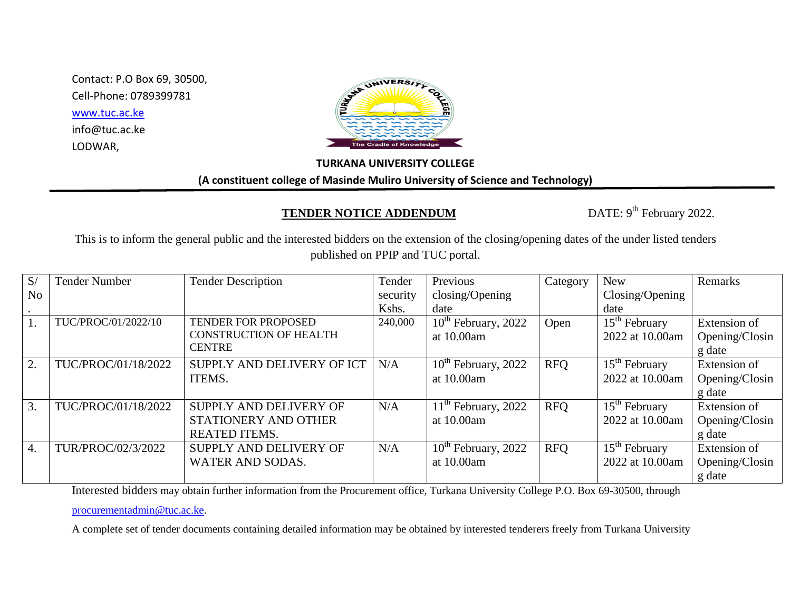Contact: P.O Box 69, 30500, Cell-Phone: 0789399781 [www.tuc.ac.ke](http://www.tuc.ac.ke/) info@tuc.ac.ke LODWAR,



## **TURKANA UNIVERSITY COLLEGE**

**(A constituent college of Masinde Muliro University of Science and Technology)**

## **TENDER NOTICE ADDENDUM**

DATE: 9<sup>th</sup> February 2022.

This is to inform the general public and the interested bidders on the extension of the closing/opening dates of the under listed tenders published on PPIP and TUC portal.

| S/               | <b>Tender Number</b> | <b>Tender Description</b>     | Tender   | Previous                 | Category   | <b>New</b>      | Remarks        |
|------------------|----------------------|-------------------------------|----------|--------------------------|------------|-----------------|----------------|
| N <sub>o</sub>   |                      |                               | security | closing/Opening          |            | Closing/Opening |                |
|                  |                      |                               | Kshs.    | date                     |            | date            |                |
| 1.               | TUC/PROC/01/2022/10  | TENDER FOR PROPOSED           | 240,000  | $10^{th}$ February, 2022 | Open       | $15th$ February | Extension of   |
|                  |                      | <b>CONSTRUCTION OF HEALTH</b> |          | at 10.00am               |            | 2022 at 10.00am | Opening/Closin |
|                  |                      | <b>CENTRE</b>                 |          |                          |            |                 | g date         |
| 2.               | TUC/PROC/01/18/2022  | SUPPLY AND DELIVERY OF ICT    | N/A      | $10^{th}$ February, 2022 | <b>RFO</b> | $15th$ February | Extension of   |
|                  |                      | ITEMS.                        |          | at 10.00am               |            | 2022 at 10.00am | Opening/Closin |
|                  |                      |                               |          |                          |            |                 | g date         |
| 3.               | TUC/PROC/01/18/2022  | SUPPLY AND DELIVERY OF        | N/A      | $11th$ February, 2022    | <b>RFQ</b> | $15th$ February | Extension of   |
|                  |                      | STATIONERY AND OTHER          |          | at 10.00am               |            | 2022 at 10.00am | Opening/Closin |
|                  |                      | <b>REATED ITEMS.</b>          |          |                          |            |                 | g date         |
| $\overline{4}$ . | TUR/PROC/02/3/2022   | SUPPLY AND DELIVERY OF        | N/A      | $10^{th}$ February, 2022 | <b>RFQ</b> | $15th$ February | Extension of   |
|                  |                      | <b>WATER AND SODAS.</b>       |          | at 10.00am               |            | 2022 at 10.00am | Opening/Closin |
|                  |                      |                               |          |                          |            |                 | g date         |

Interested bidders may obtain further information from the Procurement office, Turkana University College P.O. Box 69-30500, through

[procurementadmin@tuc.ac.ke.](mailto:procurementadmin@tuc.ac.ke)

A complete set of tender documents containing detailed information may be obtained by interested tenderers freely from Turkana University